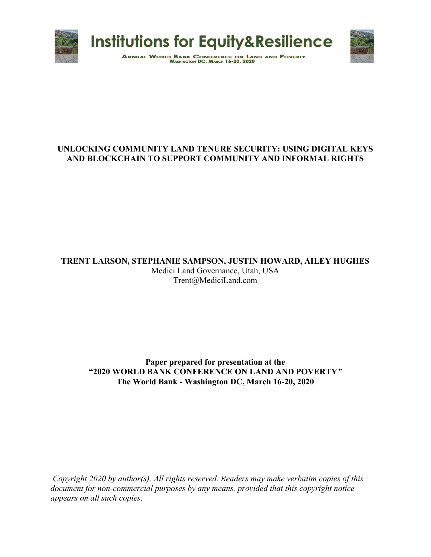

### **UNLOCKING COMMUNITY LAND TENURE SECURITY: USING DIGITAL KEYS AND BLOCKCHAIN TO SUPPORT COMMUNITY AND INFORMAL RIGHTS**

### **TRENT LARSON, STEPHANIE SAMPSON, JUSTIN HOWARD, AILEY HUGHES** Medici Land Governance, Utah, USA Trent@MediciLand.com

### **Paper prepared for presentation at the "2020 WORLD BANK CONFERENCE ON LAND AND POVERTY***"* **The World Bank - Washington DC, March 16-20, 2020**

*Copyright 2020 by author(s). All rights reserved. Readers may make verbatim copies of this document for non-commercial purposes by any means, provided that this copyright notice appears on all such copies.*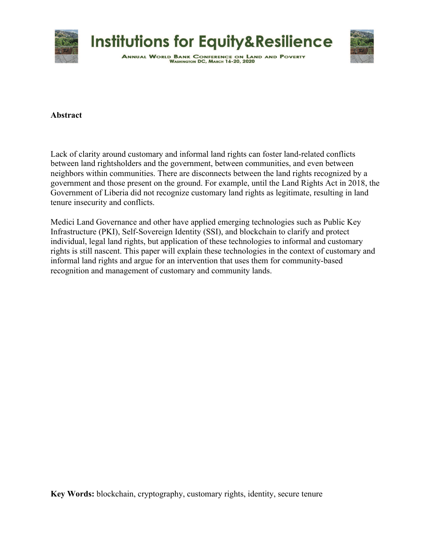

### **Abstract**

Lack of clarity around customary and informal land rights can foster land-related conflicts between land rightsholders and the government, between communities, and even between neighbors within communities. There are disconnects between the land rights recognized by a government and those present on the ground. For example, until the Land Rights Act in 2018, the Government of Liberia did not recognize customary land rights as legitimate, resulting in land tenure insecurity and conflicts.

Medici Land Governance and other have applied emerging technologies such as Public Key Infrastructure (PKI), Self-Sovereign Identity (SSI), and blockchain to clarify and protect individual, legal land rights, but application of these technologies to informal and customary rights is still nascent. This paper will explain these technologies in the context of customary and informal land rights and argue for an intervention that uses them for community-based recognition and management of customary and community lands.

**Key Words:** blockchain, cryptography, customary rights, identity, secure tenure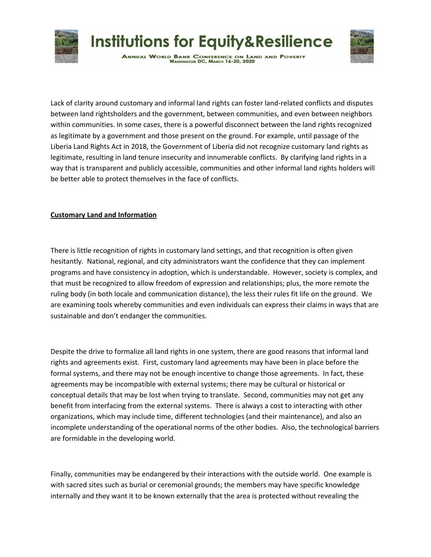

Lack of clarity around customary and informal land rights can foster land-related conflicts and disputes between land rightsholders and the government, between communities, and even between neighbors within communities. In some cases, there is a powerful disconnect between the land rights recognized as legitimate by a government and those present on the ground. For example, until passage of the Liberia Land Rights Act in 2018, the Government of Liberia did not recognize customary land rights as legitimate, resulting in land tenure insecurity and innumerable conflicts. By clarifying land rights in a way that is transparent and publicly accessible, communities and other informal land rights holders will be better able to protect themselves in the face of conflicts.

### **Customary Land and Information**

There is little recognition of rights in customary land settings, and that recognition is often given hesitantly. National, regional, and city administrators want the confidence that they can implement programs and have consistency in adoption, which is understandable. However, society is complex, and that must be recognized to allow freedom of expression and relationships; plus, the more remote the ruling body (in both locale and communication distance), the less their rules fit life on the ground. We are examining tools whereby communities and even individuals can express their claims in ways that are sustainable and don't endanger the communities.

Despite the drive to formalize all land rights in one system, there are good reasons that informal land rights and agreements exist. First, customary land agreements may have been in place before the formal systems, and there may not be enough incentive to change those agreements. In fact, these agreements may be incompatible with external systems; there may be cultural or historical or conceptual details that may be lost when trying to translate. Second, communities may not get any benefit from interfacing from the external systems. There is always a cost to interacting with other organizations, which may include time, different technologies (and their maintenance), and also an incomplete understanding of the operational norms of the other bodies. Also, the technological barriers are formidable in the developing world.

Finally, communities may be endangered by their interactions with the outside world. One example is with sacred sites such as burial or ceremonial grounds; the members may have specific knowledge internally and they want it to be known externally that the area is protected without revealing the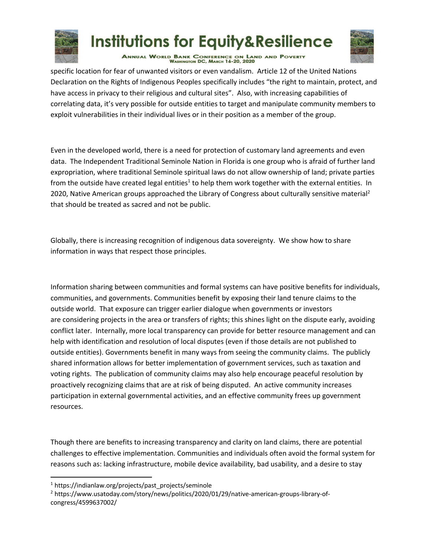

**ANNUAL WORLD BANK CONFERENCE ON LAND AND POVERTY**<br>WASHINGTON DC, MARCH 16-20, 2020



specific location for fear of unwanted visitors or even vandalism. Article 12 of the United Nations Declaration on the Rights of Indigenous Peoples specifically includes "the right to maintain, protect, and have access in privacy to their religious and cultural sites". Also, with increasing capabilities of correlating data, it's very possible for outside entities to target and manipulate community members to exploit vulnerabilities in their individual lives or in their position as a member of the group.

Even in the developed world, there is a need for protection of customary land agreements and even data. The Independent Traditional Seminole Nation in Florida is one group who is afraid of further land expropriation, where traditional Seminole spiritual laws do not allow ownership of land; private parties from the outside have created legal entities<sup>1</sup> to help them work together with the external entities. In 2020, Native American groups approached the Library of Congress about culturally sensitive material<sup>2</sup> that should be treated as sacred and not be public.

Globally, there is increasing recognition of indigenous data sovereignty. We show how to share information in ways that respect those principles.

Information sharing between communities and formal systems can have positive benefits for individuals, communities, and governments. Communities benefit by exposing their land tenure claims to the outside world. That exposure can trigger earlier dialogue when governments or investors are considering projects in the area or transfers of rights; this shines light on the dispute early, avoiding conflict later. Internally, more local transparency can provide for better resource management and can help with identification and resolution of local disputes (even if those details are not published to outside entities). Governments benefit in many ways from seeing the community claims. The publicly shared information allows for better implementation of government services, such as taxation and voting rights. The publication of community claims may also help encourage peaceful resolution by proactively recognizing claims that are at risk of being disputed. An active community increases participation in external governmental activities, and an effective community frees up government resources.

Though there are benefits to increasing transparency and clarity on land claims, there are potential challenges to effective implementation. Communities and individuals often avoid the formal system for reasons such as: lacking infrastructure, mobile device availability, bad usability, and a desire to stay

<sup>&</sup>lt;sup>1</sup> https://indianlaw.org/projects/past\_projects/seminole

<sup>2</sup> https://www.usatoday.com/story/news/politics/2020/01/29/native-american-groups-library-ofcongress/4599637002/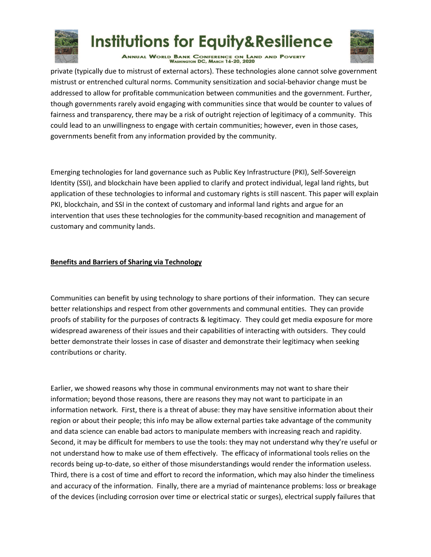

**ANNUAL WORLD BANK CONFERENCE ON LAND AND POVERTY**<br>WASHINGTON DC, MARCH 16-20, 2020

private (typically due to mistrust of external actors). These technologies alone cannot solve government mistrust or entrenched cultural norms. Community sensitization and social-behavior change must be addressed to allow for profitable communication between communities and the government. Further, though governments rarely avoid engaging with communities since that would be counter to values of fairness and transparency, there may be a risk of outright rejection of legitimacy of a community. This could lead to an unwillingness to engage with certain communities; however, even in those cases, governments benefit from any information provided by the community.

Emerging technologies for land governance such as Public Key Infrastructure (PKI), Self-Sovereign Identity (SSI), and blockchain have been applied to clarify and protect individual, legal land rights, but application of these technologies to informal and customary rights is still nascent. This paper will explain PKI, blockchain, and SSI in the context of customary and informal land rights and argue for an intervention that uses these technologies for the community-based recognition and management of customary and community lands.

### **Benefits and Barriers of Sharing via Technology**

Communities can benefit by using technology to share portions of their information. They can secure better relationships and respect from other governments and communal entities. They can provide proofs of stability for the purposes of contracts & legitimacy. They could get media exposure for more widespread awareness of their issues and their capabilities of interacting with outsiders. They could better demonstrate their losses in case of disaster and demonstrate their legitimacy when seeking contributions or charity.

Earlier, we showed reasons why those in communal environments may not want to share their information; beyond those reasons, there are reasons they may not want to participate in an information network. First, there is a threat of abuse: they may have sensitive information about their region or about their people; this info may be allow external parties take advantage of the community and data science can enable bad actors to manipulate members with increasing reach and rapidity. Second, it may be difficult for members to use the tools: they may not understand why they're useful or not understand how to make use of them effectively. The efficacy of informational tools relies on the records being up-to-date, so either of those misunderstandings would render the information useless. Third, there is a cost of time and effort to record the information, which may also hinder the timeliness and accuracy of the information. Finally, there are a myriad of maintenance problems: loss or breakage of the devices (including corrosion over time or electrical static or surges), electrical supply failures that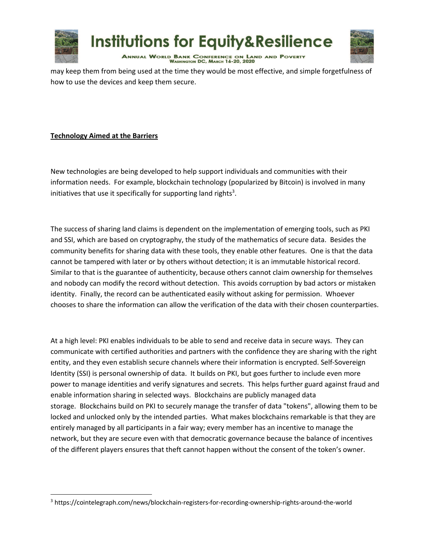

may keep them from being used at the time they would be most effective, and simple forgetfulness of how to use the devices and keep them secure.

### **Technology Aimed at the Barriers**

New technologies are being developed to help support individuals and communities with their information needs. For example, blockchain technology (popularized by Bitcoin) is involved in many initiatives that use it specifically for supporting land rights<sup>3</sup>.

The success of sharing land claims is dependent on the implementation of emerging tools, such as PKI and SSI, which are based on cryptography, the study of the mathematics of secure data. Besides the community benefits for sharing data with these tools, they enable other features. One is that the data cannot be tampered with later or by others without detection; it is an immutable historical record. Similar to that is the guarantee of authenticity, because others cannot claim ownership for themselves and nobody can modify the record without detection. This avoids corruption by bad actors or mistaken identity. Finally, the record can be authenticated easily without asking for permission. Whoever chooses to share the information can allow the verification of the data with their chosen counterparties.

At a high level: PKI enables individuals to be able to send and receive data in secure ways. They can communicate with certified authorities and partners with the confidence they are sharing with the right entity, and they even establish secure channels where their information is encrypted. Self-Sovereign Identity (SSI) is personal ownership of data. It builds on PKI, but goes further to include even more power to manage identities and verify signatures and secrets. This helps further guard against fraud and enable information sharing in selected ways. Blockchains are publicly managed data storage. Blockchains build on PKI to securely manage the transfer of data "tokens", allowing them to be locked and unlocked only by the intended parties. What makes blockchains remarkable is that they are entirely managed by all participants in a fair way; every member has an incentive to manage the network, but they are secure even with that democratic governance because the balance of incentives of the different players ensures that theft cannot happen without the consent of the token's owner.

<sup>3</sup> https://cointelegraph.com/news/blockchain-registers-for-recording-ownership-rights-around-the-world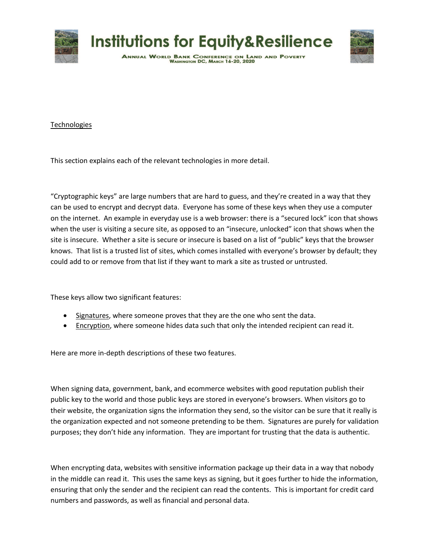

**Technologies** 

This section explains each of the relevant technologies in more detail.

"Cryptographic keys" are large numbers that are hard to guess, and they're created in a way that they can be used to encrypt and decrypt data. Everyone has some of these keys when they use a computer on the internet. An example in everyday use is a web browser: there is a "secured lock" icon that shows when the user is visiting a secure site, as opposed to an "insecure, unlocked" icon that shows when the site is insecure. Whether a site is secure or insecure is based on a list of "public" keys that the browser knows. That list is a trusted list of sites, which comes installed with everyone's browser by default; they could add to or remove from that list if they want to mark a site as trusted or untrusted.

These keys allow two significant features:

- Signatures, where someone proves that they are the one who sent the data.
- Encryption, where someone hides data such that only the intended recipient can read it.

Here are more in-depth descriptions of these two features.

When signing data, government, bank, and ecommerce websites with good reputation publish their public key to the world and those public keys are stored in everyone's browsers. When visitors go to their website, the organization signs the information they send, so the visitor can be sure that it really is the organization expected and not someone pretending to be them. Signatures are purely for validation purposes; they don't hide any information. They are important for trusting that the data is authentic.

When encrypting data, websites with sensitive information package up their data in a way that nobody in the middle can read it. This uses the same keys as signing, but it goes further to hide the information, ensuring that only the sender and the recipient can read the contents. This is important for credit card numbers and passwords, as well as financial and personal data.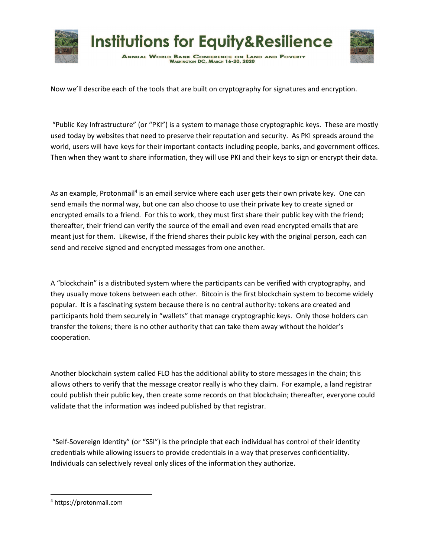

Now we'll describe each of the tools that are built on cryptography for signatures and encryption.

"Public Key Infrastructure" (or "PKI") is a system to manage those cryptographic keys. These are mostly used today by websites that need to preserve their reputation and security. As PKI spreads around the world, users will have keys for their important contacts including people, banks, and government offices. Then when they want to share information, they will use PKI and their keys to sign or encrypt their data.

As an example, Protonmail<sup>4</sup> is an email service where each user gets their own private key. One can send emails the normal way, but one can also choose to use their private key to create signed or encrypted emails to a friend. For this to work, they must first share their public key with the friend; thereafter, their friend can verify the source of the email and even read encrypted emails that are meant just for them. Likewise, if the friend shares their public key with the original person, each can send and receive signed and encrypted messages from one another.

A "blockchain" is a distributed system where the participants can be verified with cryptography, and they usually move tokens between each other. Bitcoin is the first blockchain system to become widely popular. It is a fascinating system because there is no central authority: tokens are created and participants hold them securely in "wallets" that manage cryptographic keys. Only those holders can transfer the tokens; there is no other authority that can take them away without the holder's cooperation.

Another blockchain system called FLO has the additional ability to store messages in the chain; this allows others to verify that the message creator really is who they claim. For example, a land registrar could publish their public key, then create some records on that blockchain; thereafter, everyone could validate that the information was indeed published by that registrar.

"Self-Sovereign Identity" (or "SSI") is the principle that each individual has control of their identity credentials while allowing issuers to provide credentials in a way that preserves confidentiality. Individuals can selectively reveal only slices of the information they authorize.

<sup>4</sup> https://protonmail.com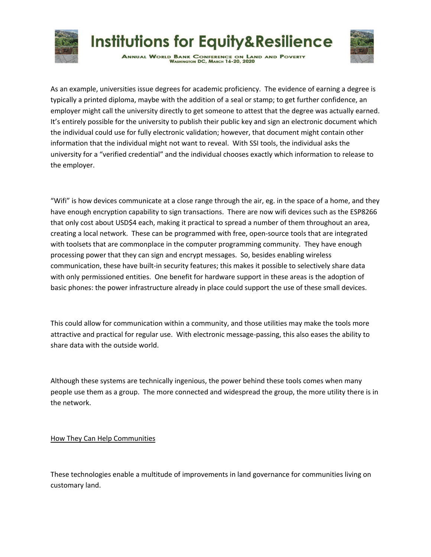



**ANNUAL WORLD BANK CONFERENCE ON LAND AND POVERTY**<br>WASHINGTON DC, MARCH 16-20, 2020

As an example, universities issue degrees for academic proficiency. The evidence of earning a degree is typically a printed diploma, maybe with the addition of a seal or stamp; to get further confidence, an employer might call the university directly to get someone to attest that the degree was actually earned. It's entirely possible for the university to publish their public key and sign an electronic document which the individual could use for fully electronic validation; however, that document might contain other information that the individual might not want to reveal. With SSI tools, the individual asks the university for a "verified credential" and the individual chooses exactly which information to release to the employer.

"Wifi" is how devices communicate at a close range through the air, eg. in the space of a home, and they have enough encryption capability to sign transactions. There are now wifi devices such as the ESP8266 that only cost about USD\$4 each, making it practical to spread a number of them throughout an area, creating a local network. These can be programmed with free, open-source tools that are integrated with toolsets that are commonplace in the computer programming community. They have enough processing power that they can sign and encrypt messages. So, besides enabling wireless communication, these have built-in security features; this makes it possible to selectively share data with only permissioned entities. One benefit for hardware support in these areas is the adoption of basic phones: the power infrastructure already in place could support the use of these small devices.

This could allow for communication within a community, and those utilities may make the tools more attractive and practical for regular use. With electronic message-passing, this also eases the ability to share data with the outside world.

Although these systems are technically ingenious, the power behind these tools comes when many people use them as a group. The more connected and widespread the group, the more utility there is in the network.

How They Can Help Communities

These technologies enable a multitude of improvements in land governance for communities living on customary land.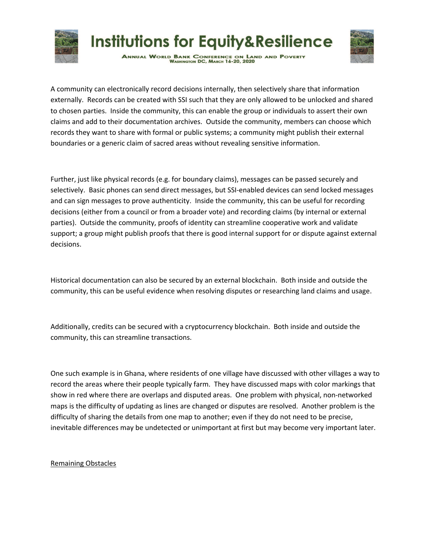



A community can electronically record decisions internally, then selectively share that information externally. Records can be created with SSI such that they are only allowed to be unlocked and shared to chosen parties. Inside the community, this can enable the group or individuals to assert their own claims and add to their documentation archives. Outside the community, members can choose which records they want to share with formal or public systems; a community might publish their external boundaries or a generic claim of sacred areas without revealing sensitive information.

Further, just like physical records (e.g. for boundary claims), messages can be passed securely and selectively. Basic phones can send direct messages, but SSI-enabled devices can send locked messages and can sign messages to prove authenticity. Inside the community, this can be useful for recording decisions (either from a council or from a broader vote) and recording claims (by internal or external parties). Outside the community, proofs of identity can streamline cooperative work and validate support; a group might publish proofs that there is good internal support for or dispute against external decisions.

Historical documentation can also be secured by an external blockchain. Both inside and outside the community, this can be useful evidence when resolving disputes or researching land claims and usage.

Additionally, credits can be secured with a cryptocurrency blockchain. Both inside and outside the community, this can streamline transactions.

One such example is in Ghana, where residents of one village have discussed with other villages a way to record the areas where their people typically farm. They have discussed maps with color markings that show in red where there are overlaps and disputed areas. One problem with physical, non-networked maps is the difficulty of updating as lines are changed or disputes are resolved. Another problem is the difficulty of sharing the details from one map to another; even if they do not need to be precise, inevitable differences may be undetected or unimportant at first but may become very important later.

#### Remaining Obstacles